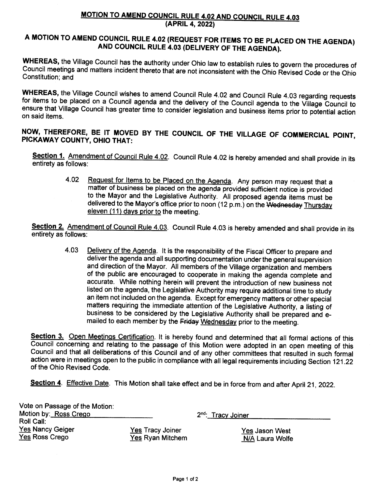## **MOTION TO AMEND COUNCIL RULE 4.02 AND COUNCIL RULE 4.03** (APRIL 4, 2022)

## A MOTION TO AMEND COUNCIL RULE 4.02 (REQUEST FOR ITEMS TO BE PLACED ON THE AGENDA) AND COUNCIL RULE 4.03 (DELIVERY OF THE AGENDA).

WHEREAS, the Village Council has the authority under Ohio law to establish rules to govern the procedures of Council meetings and matters incident thereto that are not inconsistent with the Ohio Revised Code or the Ohio Constitution; and

WHEREAS, the Village Council wishes to amend Council Rule 4.02 and Council Rule 4.03 regarding requests for items to be placed on a Council agenda and the delivery of the Council agenda to the Village Council to ensure that Village Council has greater time to consider legislation and business items prior to potential action on said items.

NOW, THEREFORE, BE IT MOVED BY THE COUNCIL OF THE VILLAGE OF COMMERCIAL POINT, PICKAWAY COUNTY, OHIO THAT:

Section 1. Amendment of Council Rule 4.02. Council Rule 4.02 is hereby amended and shall provide in its entirety as follows:

> 4.02 Request for Items to be Placed on the Agenda. Any person may request that a matter of business be placed on the agenda provided sufficient notice is provided to the Mayor and the Legislative Authority. All proposed agenda items must be delivered to the Mayor's office prior to noon (12 p.m.) on the Wednesday Thursday eleven (11) days prior to the meeting.

Section 2. Amendment of Council Rule 4.03. Council Rule 4.03 is hereby amended and shall provide in its entirety as follows:

4.03 Delivery of the Agenda. It is the responsibility of the Fiscal Officer to prepare and deliver the agenda and all supporting documentation under the general supervision and direction of the Mayor. All members of the Village organization and members of the public are encouraged to cooperate in making the agenda complete and accurate. While nothing herein will prevent the introduction of new business not listed on the agenda, the Legislative Authority may require additional time to study an item not included on the agenda. Except for emergency matters or other special matters requiring the immediate attention of the Legislative Authority, a listing of business to be considered by the Legislative Authority shall be prepared and emailed to each member by the Friday Wednesday prior to the meeting.

Section 3. Open Meetings Certification. It is hereby found and determined that all formal actions of this Council concerning and relating to the passage of this Motion were adopted in an open meeting of this Council and that all deliberations of this Council and of any other committees that resulted in such formal action were in meetings open to the public in compliance with all legal requirements including Section 121.22 of the Ohio Revised Code.

Section 4. Effective Date. This Motion shall take effect and be in force from and after April 21, 2022.

| Vote on Passage of the Motion: |                         |            |
|--------------------------------|-------------------------|------------|
| Motion by: Ross Crego          |                         | $2^{nd}$ : |
| Roll Call:                     |                         |            |
| <b>Yes Nancy Geiger</b>        | <b>Yes Tracy Joiner</b> |            |
| Yes Ross Crego                 | Yes Ryan Mitchem        |            |

**Tracy Joiner** 

Yes Jason West N/A Laura Wolfe